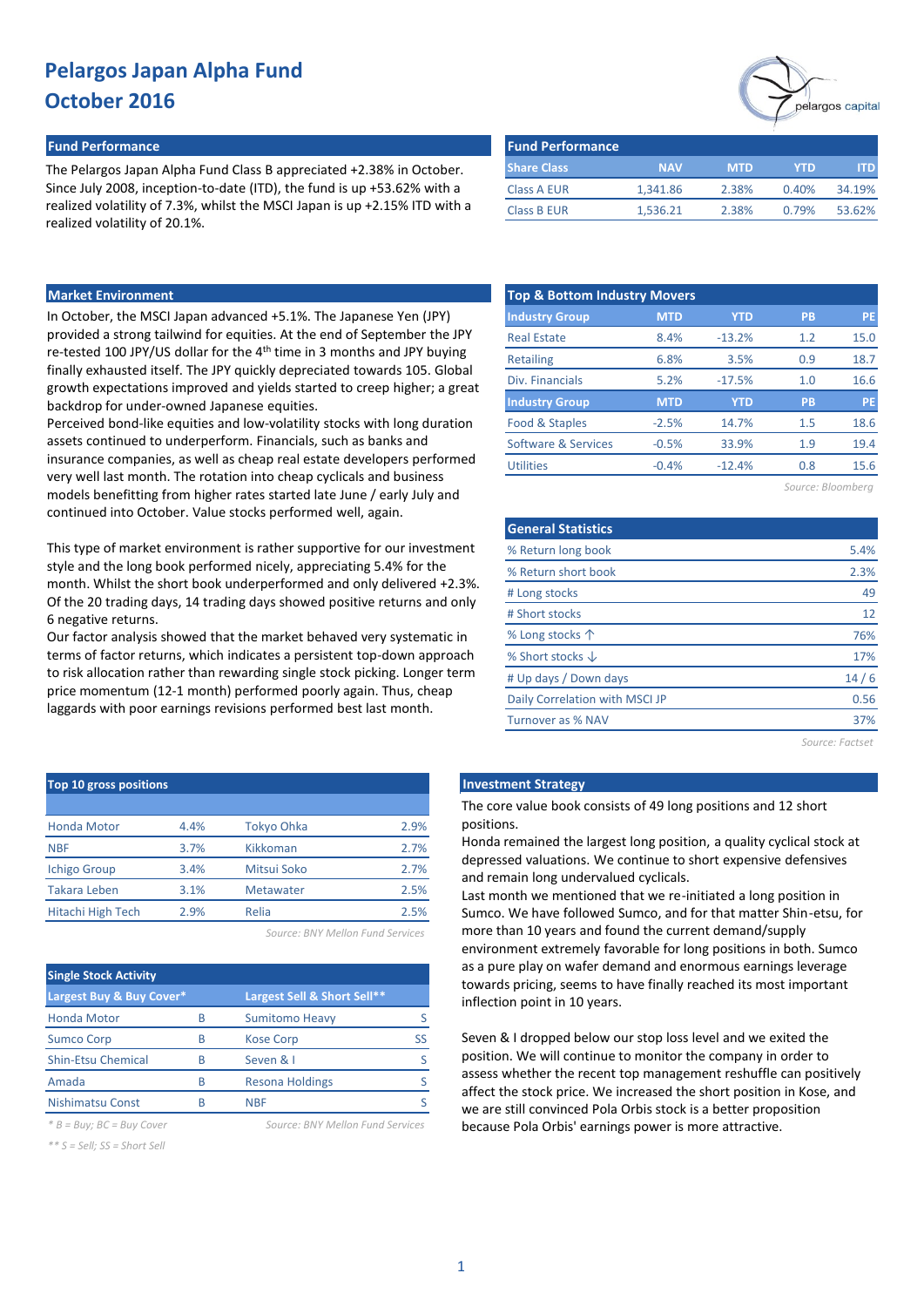#### **Fund Performance Fund Performance**

The Pelargos Japan Alpha Fund Class B appreciated +2.38% in October. Since July 2008, inception-to-date (ITD), the fund is up +53.62% with a realized volatility of 7.3%, whilst the MSCI Japan is up +2.15% ITD with a realized volatility of 20.1%.

| pelargos capita |
|-----------------|
|                 |

| <b>Fund Performance</b> |            |            |       |        |
|-------------------------|------------|------------|-------|--------|
| <b>Share Class</b>      | <b>NAV</b> | <b>MTD</b> | YTD.  | ITD    |
| Class A EUR             | 1.341.86   | 2.38%      | 0.40% | 34.19% |
| <b>Class B EUR</b>      | 1,536.21   | 2.38%      | በ 79% | 53.62% |

### **Market Environment**

In October, the MSCI Japan advanced +5.1%. The Japanese Yen (JPY) provided a strong tailwind for equities. At the end of September the JPY re-tested 100 JPY/US dollar for the 4th time in 3 months and JPY buying finally exhausted itself. The JPY quickly depreciated towards 105. Global growth expectations improved and yields started to creep higher; a great backdrop for under-owned Japanese equities.

Perceived bond-like equities and low-volatility stocks with long duration assets continued to underperform. Financials, such as banks and insurance companies, as well as cheap real estate developers performed very well last month. The rotation into cheap cyclicals and business models benefitting from higher rates started late June / early July and continued into October. Value stocks performed well, again.

This type of market environment is rather supportive for our investment style and the long book performed nicely, appreciating 5.4% for the month. Whilst the short book underperformed and only delivered +2.3%. Of the 20 trading days, 14 trading days showed positive returns and only 6 negative returns.

Our factor analysis showed that the market behaved very systematic in terms of factor returns, which indicates a persistent top-down approach to risk allocation rather than rewarding single stock picking. Longer term price momentum (12-1 month) performed poorly again. Thus, cheap laggards with poor earnings revisions performed best last month.

| Top 10 gross positions |      |                  |      |  |  |  |  |  |
|------------------------|------|------------------|------|--|--|--|--|--|
|                        |      |                  |      |  |  |  |  |  |
| <b>Honda Motor</b>     | 4.4% | Tokyo Ohka       | 2.9% |  |  |  |  |  |
| <b>NBF</b>             | 3.7% | Kikkoman         | 2.7% |  |  |  |  |  |
| <b>Ichigo Group</b>    | 3.4% | Mitsui Soko      | 2.7% |  |  |  |  |  |
| <b>Takara Leben</b>    | 3.1% | <b>Metawater</b> | 2.5% |  |  |  |  |  |
| Hitachi High Tech      | 2.9% | Relia            | 2.5% |  |  |  |  |  |
|                        |      |                  |      |  |  |  |  |  |

*Source: BNY Mellon Fund Services*

| <b>Single Stock Activity</b> |   |                             |    |  |  |  |  |  |  |  |
|------------------------------|---|-----------------------------|----|--|--|--|--|--|--|--|
| Largest Buy & Buy Cover*     |   | Largest Sell & Short Sell** |    |  |  |  |  |  |  |  |
| <b>Honda Motor</b>           | В | <b>Sumitomo Heavy</b>       |    |  |  |  |  |  |  |  |
| <b>Sumco Corp</b>            | B | <b>Kose Corp</b>            | SS |  |  |  |  |  |  |  |
| <b>Shin-Etsu Chemical</b>    | B | Seven & I                   |    |  |  |  |  |  |  |  |
| Amada                        | B | <b>Resona Holdings</b>      |    |  |  |  |  |  |  |  |
| <b>Nishimatsu Const</b>      | R | NBF                         |    |  |  |  |  |  |  |  |

*\*\* S = Sell; SS = Short Sell*

*\* B = Buy; BC = Buy Cover Source: BNY Mellon Fund Services*

| <b>Top &amp; Bottom Industry Movers</b> |            |            |                   |           |  |  |  |  |  |  |  |
|-----------------------------------------|------------|------------|-------------------|-----------|--|--|--|--|--|--|--|
| <b>Industry Group</b>                   | <b>MTD</b> | <b>YTD</b> | <b>PB</b>         | PE        |  |  |  |  |  |  |  |
| <b>Real Estate</b>                      | 8.4%       | $-13.2%$   | 1.2               | 15.0      |  |  |  |  |  |  |  |
| <b>Retailing</b>                        | 6.8%       | 3.5%       | 0.9               | 18.7      |  |  |  |  |  |  |  |
| Div. Financials                         | 5.2%       | $-17.5%$   | 1.0               | 16.6      |  |  |  |  |  |  |  |
| <b>Industry Group</b>                   | <b>MTD</b> | <b>YTD</b> | <b>PB</b>         | <b>PE</b> |  |  |  |  |  |  |  |
| Food & Staples                          | $-2.5%$    | 14.7%      | 1.5               | 18.6      |  |  |  |  |  |  |  |
| Software & Services                     | $-0.5%$    | 33.9%      | 1.9               | 19.4      |  |  |  |  |  |  |  |
| <b>Utilities</b>                        | $-0.4%$    | $-12.4%$   | 0.8               | 15.6      |  |  |  |  |  |  |  |
|                                         |            |            | Source: Bloombera |           |  |  |  |  |  |  |  |

| <b>General Statistics</b>      |      |
|--------------------------------|------|
| % Return long book             | 5.4% |
| % Return short book            | 2.3% |
| # Long stocks                  | 49   |
| # Short stocks                 | 12   |
| % Long stocks $\uparrow$       | 76%  |
| % Short stocks $\downarrow$    | 17%  |
| # Up days / Down days          | 14/6 |
| Daily Correlation with MSCI JP | 0.56 |
| Turnover as % NAV              | 37%  |
|                                |      |

*Source: Factset*

### **Investment Strategy**

The core value book consists of 49 long positions and 12 short positions.

Honda remained the largest long position, a quality cyclical stock at depressed valuations. We continue to short expensive defensives and remain long undervalued cyclicals.

Last month we mentioned that we re-initiated a long position in Sumco. We have followed Sumco, and for that matter Shin-etsu, for more than 10 years and found the current demand/supply environment extremely favorable for long positions in both. Sumco as a pure play on wafer demand and enormous earnings leverage towards pricing, seems to have finally reached its most important inflection point in 10 years.

Seven & I dropped below our stop loss level and we exited the position. We will continue to monitor the company in order to assess whether the recent top management reshuffle can positively affect the stock price. We increased the short position in Kose, and we are still convinced Pola Orbis stock is a better proposition because Pola Orbis' earnings power is more attractive.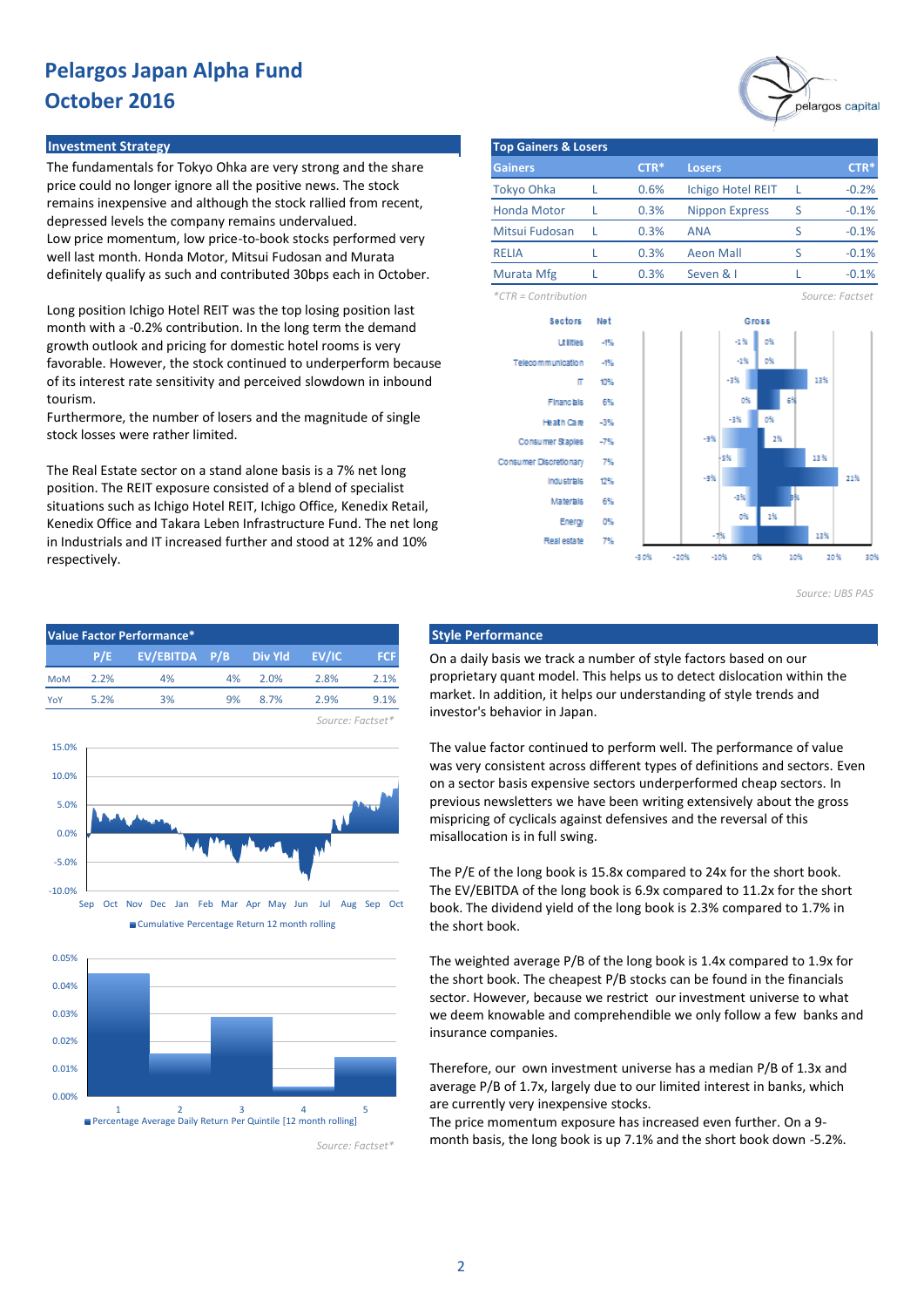### **Investment Strategy**

The fundamentals for Tokyo Ohka are very strong and the share price could no longer ignore all the positive news. The stock remains inexpensive and although the stock rallied from recent, depressed levels the company remains undervalued. Low price momentum, low price-to-book stocks performed very well last month. Honda Motor, Mitsui Fudosan and Murata definitely qualify as such and contributed 30bps each in October.

Long position Ichigo Hotel REIT was the top losing position last month with a -0.2% contribution. In the long term the demand growth outlook and pricing for domestic hotel rooms is very favorable. However, the stock continued to underperform because of its interest rate sensitivity and perceived slowdown in inbound tourism.

Furthermore, the number of losers and the magnitude of single stock losses were rather limited.

The Real Estate sector on a stand alone basis is a 7% net long position. The REIT exposure consisted of a blend of specialist situations such as Ichigo Hotel REIT, Ichigo Office, Kenedix Retail, Kenedix Office and Takara Leben Infrastructure Fund. The net long in Industrials and IT increased further and stood at 12% and 10% respectively.





*Source: Factset\**



| <b>Top Gainers &amp; Losers</b> |  |        |                          |   |         |  |  |  |  |  |  |
|---------------------------------|--|--------|--------------------------|---|---------|--|--|--|--|--|--|
| <b>Gainers</b>                  |  | $CTR*$ | <b>Losers</b>            |   | $CTR*$  |  |  |  |  |  |  |
| <b>Tokyo Ohka</b>               |  | 0.6%   | <b>Ichigo Hotel REIT</b> |   | $-0.2%$ |  |  |  |  |  |  |
| <b>Honda Motor</b>              |  | 0.3%   | <b>Nippon Express</b>    | ς | $-0.1%$ |  |  |  |  |  |  |
| Mitsui Fudosan                  |  | 0.3%   | <b>ANA</b>               |   | $-0.1%$ |  |  |  |  |  |  |
| <b>RELIA</b>                    |  | 0.3%   | Aeon Mall                |   | $-0.1%$ |  |  |  |  |  |  |
| Murata Mfg                      |  | 0.3%   | Seven & I                |   | $-0.1%$ |  |  |  |  |  |  |

*\*CTR = Contribution Source: Factset*



*Source: UBS PAS*

on R

21%

30%

On a daily basis we track a number of style factors based on our proprietary quant model. This helps us to detect dislocation within the market. In addition, it helps our understanding of style trends and investor's behavior in Japan.

The value factor continued to perform well. The performance of value was very consistent across different types of definitions and sectors. Even on a sector basis expensive sectors underperformed cheap sectors. In previous newsletters we have been writing extensively about the gross mispricing of cyclicals against defensives and the reversal of this misallocation is in full swing.

The P/E of the long book is 15.8x compared to 24x for the short book. The EV/EBITDA of the long book is 6.9x compared to 11.2x for the short book. The dividend yield of the long book is 2.3% compared to 1.7% in the short book.

The weighted average P/B of the long book is 1.4x compared to 1.9x for the short book. The cheapest P/B stocks can be found in the financials sector. However, because we restrict our investment universe to what we deem knowable and comprehendible we only follow a few banks and insurance companies.

Therefore, our own investment universe has a median P/B of 1.3x and average P/B of 1.7x, largely due to our limited interest in banks, which are currently very inexpensive stocks.

The price momentum exposure has increased even further. On a 9 month basis, the long book is up 7.1% and the short book down -5.2%.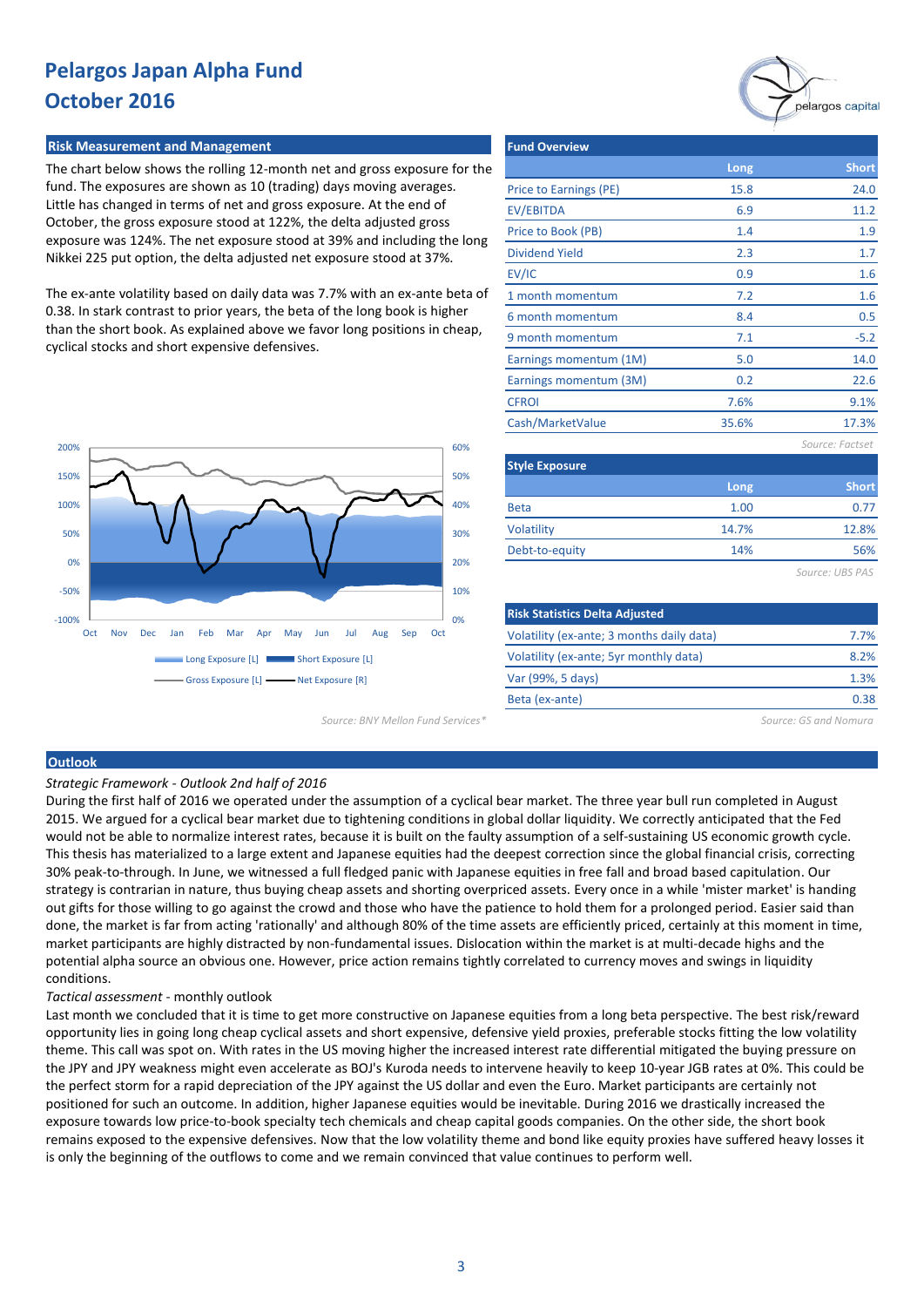#### **Risk Measurement and Management**

The chart below shows the rolling 12-month net and gross exposure for the fund. The exposures are shown as 10 (trading) days moving averages. Little has changed in terms of net and gross exposure. At the end of October, the gross exposure stood at 122%, the delta adjusted gross exposure was 124%. The net exposure stood at 39% and including the long Nikkei 225 put option, the delta adjusted net exposure stood at 37%.

The ex-ante volatility based on daily data was 7.7% with an ex-ante beta of 0.38. In stark contrast to prior years, the beta of the long book is higher than the short book. As explained above we favor long positions in cheap, cyclical stocks and short expensive defensives.



| <b>Fund Overview</b>   |       |                 |
|------------------------|-------|-----------------|
|                        | Long  | <b>Short</b>    |
| Price to Earnings (PE) | 15.8  | 24.0            |
| <b>EV/EBITDA</b>       | 6.9   | 11.2            |
| Price to Book (PB)     | 1.4   | 1.9             |
| <b>Dividend Yield</b>  | 2.3   | 1.7             |
| EV/IC                  | 0.9   | 1.6             |
| 1 month momentum       | 7.2   | 1.6             |
| 6 month momentum       | 8.4   | 0.5             |
| 9 month momentum       | 7.1   | $-5.2$          |
| Earnings momentum (1M) | 5.0   | 14.0            |
| Earnings momentum (3M) | 0.2   | 22.6            |
| <b>CFROI</b>           | 7.6%  | 9.1%            |
| Cash/MarketValue       | 35.6% | 17.3%           |
|                        |       | Source: Factset |
| <b>Style Exposure</b>  |       |                 |
|                        | Long  | <b>Short</b>    |
| <b>Beta</b>            | 1.00  | 0.77            |
| Volatility             | 14.7% | 12.8%           |
| Debt-to-equity         | 14%   | 56%             |
|                        |       | Source: UBS PAS |

| <b>Risk Statistics Delta Adjusted</b>     |      |
|-------------------------------------------|------|
| Volatility (ex-ante; 3 months daily data) | 7.7% |
| Volatility (ex-ante; 5yr monthly data)    | 8.2% |
| Var (99%, 5 days)                         | 1.3% |
| Beta (ex-ante)                            | 0.38 |
|                                           |      |

*Source: BNY Mellon Fund Services\* Source: GS and Nomura*

#### **Outlook**

*Strategic Framework - Outlook 2nd half of 2016*

During the first half of 2016 we operated under the assumption of a cyclical bear market. The three year bull run completed in August 2015. We argued for a cyclical bear market due to tightening conditions in global dollar liquidity. We correctly anticipated that the Fed would not be able to normalize interest rates, because it is built on the faulty assumption of a self-sustaining US economic growth cycle. This thesis has materialized to a large extent and Japanese equities had the deepest correction since the global financial crisis, correcting 30% peak-to-through. In June, we witnessed a full fledged panic with Japanese equities in free fall and broad based capitulation. Our strategy is contrarian in nature, thus buying cheap assets and shorting overpriced assets. Every once in a while 'mister market' is handing out gifts for those willing to go against the crowd and those who have the patience to hold them for a prolonged period. Easier said than done, the market is far from acting 'rationally' and although 80% of the time assets are efficiently priced, certainly at this moment in time, market participants are highly distracted by non-fundamental issues. Dislocation within the market is at multi-decade highs and the potential alpha source an obvious one. However, price action remains tightly correlated to currency moves and swings in liquidity conditions.

#### *Tactical assessment* - monthly outlook

Last month we concluded that it is time to get more constructive on Japanese equities from a long beta perspective. The best risk/reward opportunity lies in going long cheap cyclical assets and short expensive, defensive yield proxies, preferable stocks fitting the low volatility theme. This call was spot on. With rates in the US moving higher the increased interest rate differential mitigated the buying pressure on the JPY and JPY weakness might even accelerate as BOJ's Kuroda needs to intervene heavily to keep 10-year JGB rates at 0%. This could be the perfect storm for a rapid depreciation of the JPY against the US dollar and even the Euro. Market participants are certainly not positioned for such an outcome. In addition, higher Japanese equities would be inevitable. During 2016 we drastically increased the exposure towards low price-to-book specialty tech chemicals and cheap capital goods companies. On the other side, the short book remains exposed to the expensive defensives. Now that the low volatility theme and bond like equity proxies have suffered heavy losses it is only the beginning of the outflows to come and we remain convinced that value continues to perform well.

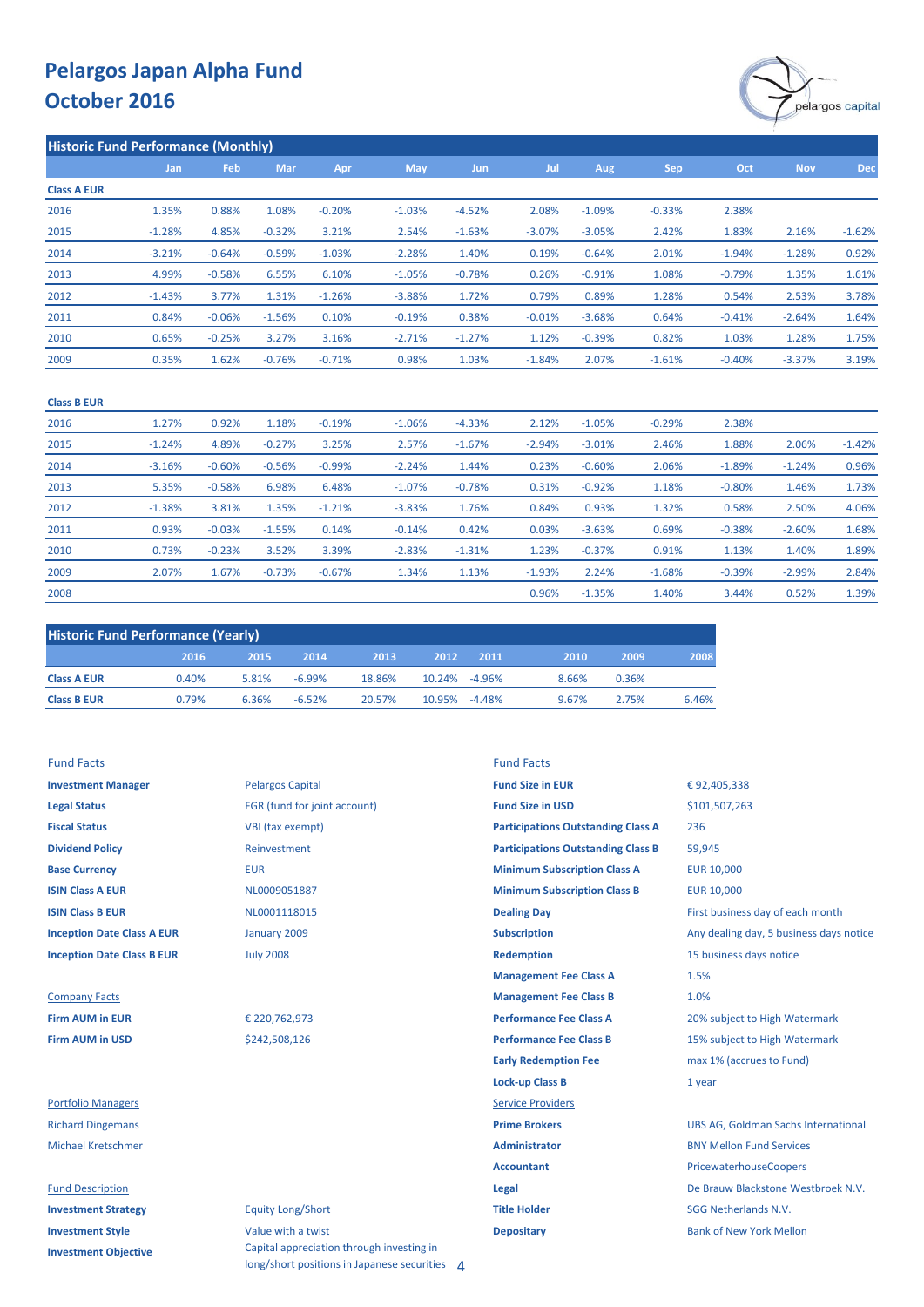

| <b>Historic Fund Performance (Monthly)</b> |          |          |            |          |            |            |          |          |          |          |            |            |
|--------------------------------------------|----------|----------|------------|----------|------------|------------|----------|----------|----------|----------|------------|------------|
|                                            | Jan      | Feb      | <b>Mar</b> | Apr      | <b>May</b> | <b>Jun</b> | Jul      | Aug      | Sep      | Oct      | <b>Nov</b> | <b>Dec</b> |
| <b>Class A EUR</b>                         |          |          |            |          |            |            |          |          |          |          |            |            |
| 2016                                       | 1.35%    | 0.88%    | 1.08%      | $-0.20%$ | $-1.03%$   | $-4.52%$   | 2.08%    | $-1.09%$ | $-0.33%$ | 2.38%    |            |            |
| 2015                                       | $-1.28%$ | 4.85%    | $-0.32%$   | 3.21%    | 2.54%      | $-1.63%$   | $-3.07%$ | $-3.05%$ | 2.42%    | 1.83%    | 2.16%      | $-1.62%$   |
| 2014                                       | $-3.21%$ | $-0.64%$ | $-0.59%$   | $-1.03%$ | $-2.28%$   | 1.40%      | 0.19%    | $-0.64%$ | 2.01%    | $-1.94%$ | $-1.28%$   | 0.92%      |
| 2013                                       | 4.99%    | $-0.58%$ | 6.55%      | 6.10%    | $-1.05%$   | $-0.78%$   | 0.26%    | $-0.91%$ | 1.08%    | $-0.79%$ | 1.35%      | 1.61%      |
| 2012                                       | $-1.43%$ | 3.77%    | 1.31%      | $-1.26%$ | $-3.88%$   | 1.72%      | 0.79%    | 0.89%    | 1.28%    | 0.54%    | 2.53%      | 3.78%      |
| 2011                                       | 0.84%    | $-0.06%$ | $-1.56%$   | 0.10%    | $-0.19%$   | 0.38%      | $-0.01%$ | $-3.68%$ | 0.64%    | $-0.41%$ | $-2.64%$   | 1.64%      |
| 2010                                       | 0.65%    | $-0.25%$ | 3.27%      | 3.16%    | $-2.71%$   | $-1.27%$   | 1.12%    | $-0.39%$ | 0.82%    | 1.03%    | 1.28%      | 1.75%      |
| 2009                                       | 0.35%    | 1.62%    | $-0.76%$   | $-0.71%$ | 0.98%      | 1.03%      | $-1.84%$ | 2.07%    | $-1.61%$ | $-0.40%$ | $-3.37%$   | 3.19%      |
|                                            |          |          |            |          |            |            |          |          |          |          |            |            |

| <b>Class B EUR</b> |          |          |          |          |          |          |          |          |          |          |           |          |
|--------------------|----------|----------|----------|----------|----------|----------|----------|----------|----------|----------|-----------|----------|
| 2016               | 1.27%    | 0.92%    | 1.18%    | $-0.19%$ | $-1.06%$ | $-4.33%$ | 2.12%    | $-1.05%$ | $-0.29%$ | 2.38%    |           |          |
| 2015               | $-1.24%$ | 4.89%    | $-0.27%$ | 3.25%    | 2.57%    | $-1.67%$ | $-2.94%$ | $-3.01%$ | 2.46%    | 1.88%    | 2.06%     | $-1.42%$ |
| 2014               | $-3.16%$ | $-0.60%$ | $-0.56%$ | $-0.99%$ | $-2.24%$ | 1.44%    | 0.23%    | $-0.60%$ | 2.06%    | $-1.89%$ | $-1.24%$  | 0.96%    |
| 2013               | 5.35%    | $-0.58%$ | 6.98%    | 6.48%    | $-1.07%$ | $-0.78%$ | 0.31%    | $-0.92%$ | 1.18%    | $-0.80%$ | 1.46%     | 1.73%    |
| 2012               | $-1.38%$ | 3.81%    | 1.35%    | $-1.21%$ | $-3.83%$ | 1.76%    | 0.84%    | 0.93%    | 1.32%    | 0.58%    | 2.50%     | 4.06%    |
| 2011               | 0.93%    | $-0.03%$ | $-1.55%$ | 0.14%    | $-0.14%$ | 0.42%    | 0.03%    | $-3.63%$ | 0.69%    | $-0.38%$ | $-2.60%$  | 1.68%    |
| 2010               | 0.73%    | $-0.23%$ | 3.52%    | 3.39%    | $-2.83%$ | $-1.31%$ | 1.23%    | $-0.37%$ | 0.91%    | 1.13%    | 1.40%     | 1.89%    |
| 2009               | 2.07%    | 1.67%    | $-0.73%$ | $-0.67%$ | 1.34%    | 1.13%    | $-1.93%$ | 2.24%    | $-1.68%$ | $-0.39%$ | $-2.99\%$ | 2.84%    |
| 2008               |          |          |          |          |          |          | 0.96%    | $-1.35%$ | 1.40%    | 3.44%    | 0.52%     | 1.39%    |

| <b>Historic Fund Performance (Yearly)</b> |       |       |           |        |               |          |       |       |       |  |  |
|-------------------------------------------|-------|-------|-----------|--------|---------------|----------|-------|-------|-------|--|--|
|                                           | 2016  | 2015  | 2014      | 2013   | 2012          | 2011     | 2010  | 2009  | 2008  |  |  |
| <b>Class A EUR</b>                        | 0.40% | 5.81% | $-6.99\%$ | 18.86% | 10.24% -4.96% |          | 8.66% | 0.36% |       |  |  |
| <b>Class B EUR</b>                        | 0.79% | 6.36% | $-6.52%$  | 20.57% | 10.95%        | $-4.48%$ | 9.67% | 2.75% | 6.46% |  |  |

#### Fund Facts Fund Facts

**Investment Objective**

| <b>Investment Manager</b>         | <b>Pelargos Capital</b>      | <b>Fund Size in EUR</b>                   | €92,405,338                                |
|-----------------------------------|------------------------------|-------------------------------------------|--------------------------------------------|
| <b>Legal Status</b>               | FGR (fund for joint account) | <b>Fund Size in USD</b>                   | \$101,507,263                              |
| <b>Fiscal Status</b>              | VBI (tax exempt)             | <b>Participations Outstanding Class A</b> | 236                                        |
| <b>Dividend Policy</b>            | Reinvestment                 | <b>Participations Outstanding Class B</b> | 59,945                                     |
| <b>Base Currency</b>              | <b>EUR</b>                   | <b>Minimum Subscription Class A</b>       | <b>EUR 10,000</b>                          |
| <b>ISIN Class A EUR</b>           | NL0009051887                 | <b>Minimum Subscription Class B</b>       | <b>EUR 10,000</b>                          |
| <b>ISIN Class B EUR</b>           | NL0001118015                 | <b>Dealing Day</b>                        | First business day of each month           |
| <b>Inception Date Class A EUR</b> | January 2009                 | <b>Subscription</b>                       | Any dealing day, 5 business days notice    |
| <b>Inception Date Class B EUR</b> | <b>July 2008</b>             | <b>Redemption</b>                         | 15 business days notice                    |
|                                   |                              | <b>Management Fee Class A</b>             | 1.5%                                       |
| <b>Company Facts</b>              |                              | <b>Management Fee Class B</b>             | 1.0%                                       |
| <b>Firm AUM in EUR</b>            | € 220,762,973                | <b>Performance Fee Class A</b>            | 20% subject to High Watermark              |
| <b>Firm AUM in USD</b>            | \$242,508,126                | <b>Performance Fee Class B</b>            | 15% subject to High Watermark              |
|                                   |                              | <b>Early Redemption Fee</b>               | max 1% (accrues to Fund)                   |
|                                   |                              | <b>Lock-up Class B</b>                    | 1 year                                     |
| <b>Portfolio Managers</b>         |                              | <b>Service Providers</b>                  |                                            |
| <b>Richard Dingemans</b>          |                              | <b>Prime Brokers</b>                      | <b>UBS AG, Goldman Sachs International</b> |
| <b>Michael Kretschmer</b>         |                              | <b>Administrator</b>                      | <b>BNY Mellon Fund Services</b>            |
|                                   |                              | <b>Accountant</b>                         | PricewaterhouseCoopers                     |
| <b>Fund Description</b>           |                              | Legal                                     | De Brauw Blackstone Westbroek N.V.         |
| <b>Investment Strategy</b>        | <b>Equity Long/Short</b>     | <b>Title Holder</b>                       | <b>SGG Netherlands N.V.</b>                |
|                                   |                              |                                           |                                            |

**Investment Style Value with a twist Depositary Depositary Bank of New York Mellon** Capital appreciation through investing in long/short positions in Japanese securities 4